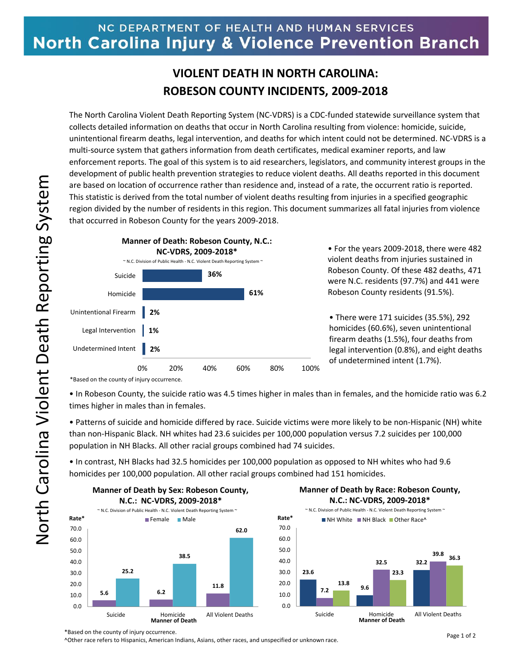## NC DEPARTMENT OF HEALTH AND HUMAN SERVICES **North Carolina Injury & Violence Prevention Branch**

## **VIOLENT DEATH IN NORTH CAROLINA: ROBESON COUNTY INCIDENTS, 2009-2018**

The North Carolina Violent Death Reporting System (NC-VDRS) is a CDC-funded statewide surveillance system that collects detailed information on deaths that occur in North Carolina resulting from violence: homicide, suicide, unintentional firearm deaths, legal intervention, and deaths for which intent could not be determined. NC-VDRS is a multi-source system that gathers information from death certificates, medical examiner reports, and law enforcement reports. The goal of this system is to aid researchers, legislators, and community interest groups in the development of public health prevention strategies to reduce violent deaths. All deaths reported in this document are based on location of occurrence rather than residence and, instead of a rate, the occurrent ratio is reported. This statistic is derived from the total number of violent deaths resulting from injuries in a specified geographic region divided by the number of residents in this region. This document summarizes all fatal injuries from violence that occurred in Robeson County for the years 2009-2018.



• For the years 2009-2018, there were 482 violent deaths from injuries sustained in Robeson County. Of these 482 deaths, 471 were N.C. residents (97.7%) and 441 were Robeson County residents (91.5%).

• There were 171 suicides (35.5%), 292 homicides (60.6%), seven unintentional firearm deaths (1.5%), four deaths from legal intervention (0.8%), and eight deaths of undetermined intent (1.7%).

\*Based on the county of injury occurrence.

• In Robeson County, the suicide ratio was 4.5 times higher in males than in females, and the homicide ratio was 6.2 times higher in males than in females.

• Patterns of suicide and homicide differed by race. Suicide victims were more likely to be non-Hispanic (NH) white than non-Hispanic Black. NH whites had 23.6 suicides per 100,000 population versus 7.2 suicides per 100,000 population in NH Blacks. All other racial groups combined had 74 suicides.

• In contrast, NH Blacks had 32.5 homicides per 100,000 population as opposed to NH whites who had 9.6 homicides per 100,000 population. All other racial groups combined had 151 homicides.







^Other race refers to Hispanics, American Indians, Asians, other races, and unspecified or unknown race.

<sup>\*</sup>Based on the county of injury occurrence.